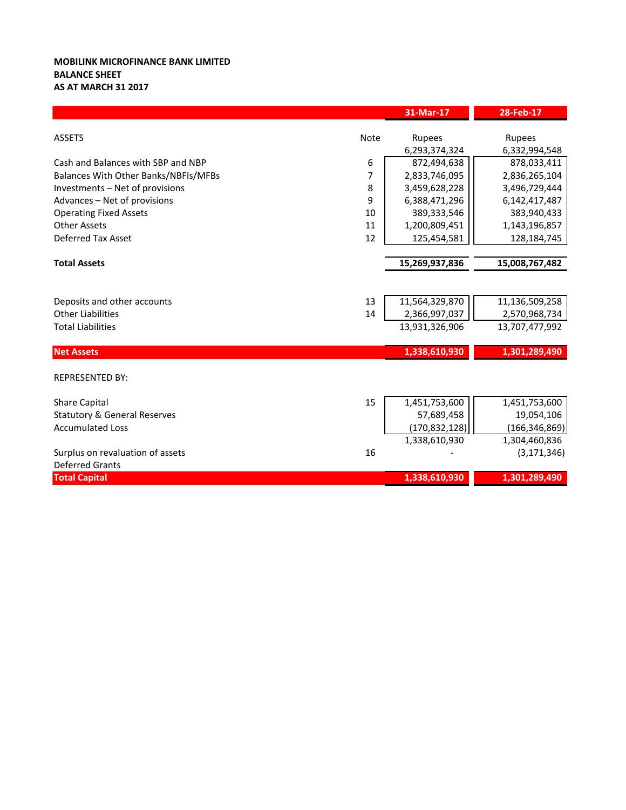## **MOBILINK MICROFINANCE BANK LIMITED BALANCE SHEET AS AT MARCH 31 2017**

|                                         |      | 31-Mar-17       | 28-Feb-17       |
|-----------------------------------------|------|-----------------|-----------------|
|                                         |      |                 |                 |
| <b>ASSETS</b>                           | Note | <b>Rupees</b>   | <b>Rupees</b>   |
|                                         |      | 6,293,374,324   | 6,332,994,548   |
| Cash and Balances with SBP and NBP      | 6    | 872,494,638     | 878,033,411     |
| Balances With Other Banks/NBFIs/MFBs    | 7    | 2,833,746,095   | 2,836,265,104   |
| Investments - Net of provisions         | 8    | 3,459,628,228   | 3,496,729,444   |
| Advances - Net of provisions            | 9    | 6,388,471,296   | 6,142,417,487   |
| <b>Operating Fixed Assets</b>           | 10   | 389,333,546     | 383,940,433     |
| <b>Other Assets</b>                     | 11   | 1,200,809,451   | 1,143,196,857   |
| <b>Deferred Tax Asset</b>               | 12   | 125,454,581     | 128,184,745     |
|                                         |      |                 |                 |
| <b>Total Assets</b>                     |      | 15,269,937,836  | 15,008,767,482  |
|                                         |      |                 |                 |
| Deposits and other accounts             | 13   | 11,564,329,870  | 11,136,509,258  |
| <b>Other Liabilities</b>                | 14   | 2,366,997,037   | 2,570,968,734   |
| <b>Total Liabilities</b>                |      | 13,931,326,906  | 13,707,477,992  |
| <b>Net Assets</b>                       |      | 1,338,610,930   | 1,301,289,490   |
|                                         |      |                 |                 |
| <b>REPRESENTED BY:</b>                  |      |                 |                 |
| <b>Share Capital</b>                    | 15   | 1,451,753,600   | 1,451,753,600   |
| <b>Statutory &amp; General Reserves</b> |      | 57,689,458      | 19,054,106      |
| <b>Accumulated Loss</b>                 |      | (170, 832, 128) | (166, 346, 869) |
|                                         |      | 1,338,610,930   | 1,304,460,836   |
| Surplus on revaluation of assets        | 16   |                 | (3, 171, 346)   |
| <b>Deferred Grants</b>                  |      |                 |                 |
| <b>Total Capital</b>                    |      | 1,338,610,930   | 1,301,289,490   |